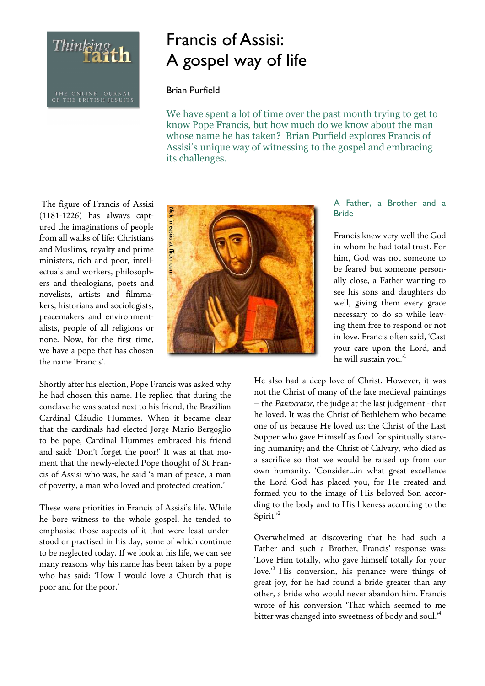THE ONLINE JOURNAL<br>OF THE BRITISH JESUITS

Thinking th

# Francis of Assisi: A gospel way of life

## Brian Purfield

We have spent a lot of time over the past month trying to get to know Pope Francis, but how much do we know about the man whose name he has taken? Brian Purfield explores Francis of Assisi's unique way of witnessing to the gospel and embracing its challenges.

 The figure of Francis of Assisi (1181-1226) has always captured the imaginations of people from all walks of life: Christians and Muslims, royalty and prime ministers, rich and poor, intellectuals and workers, philosophers and theologians, poets and novelists, artists and filmmakers, historians and sociologists, peacemakers and environmentalists, people of all religions or none. Now, for the first time, we have a pope that has chosen the name 'Francis'.

Shortly after his election, Pope Francis was asked why he had chosen this name. He replied that during the conclave he was seated next to his friend, the Brazilian Cardinal Cláudio Hummes. When it became clear that the cardinals had elected Jorge Mario Bergoglio to be pope, Cardinal Hummes embraced his friend and said: 'Don't forget the poor!' It was at that moment that the newly-elected Pope thought of St Francis of Assisi who was, he said 'a man of peace, a man of poverty, a man who loved and protected creation.'

These were priorities in Francis of Assisi's life. While he bore witness to the whole gospel, he tended to emphasise those aspects of it that were least understood or practised in his day, some of which continue to be neglected today. If we look at his life, we can see many reasons why his name has been taken by a pope who has said: 'How I would love a Church that is poor and for the poor.'



A Father, a Brother and a Bride

Francis knew very well the God in whom he had total trust. For him, God was not someone to be feared but someone personally close, a Father wanting to see his sons and daughters do well, giving them every grace necessary to do so while leaving them free to respond or not in love. Francis often said, 'Cast your care upon the Lord, and he will sustain you."

He also had a deep love of Christ. However, it was not the Christ of many of the late medieval paintings – the *Pantocrator*, the judge at the last judgement - that he loved. It was the Christ of Bethlehem who became one of us because He loved us; the Christ of the Last Supper who gave Himself as food for spiritually starving humanity; and the Christ of Calvary, who died as a sacrifice so that we would be raised up from our own humanity. 'Consider…in what great excellence the Lord God has placed you, for He created and formed you to the image of His beloved Son according to the body and to His likeness according to the Spirit.'<sup>2</sup>

Overwhelmed at discovering that he had such a Father and such a Brother, Francis' response was: 'Love Him totally, who gave himself totally for your love.'<sup>3</sup> His conversion, his penance were things of great joy, for he had found a bride greater than any other, a bride who would never abandon him. Francis wrote of his conversion 'That which seemed to me bitter was changed into sweetness of body and soul.<sup>4</sup>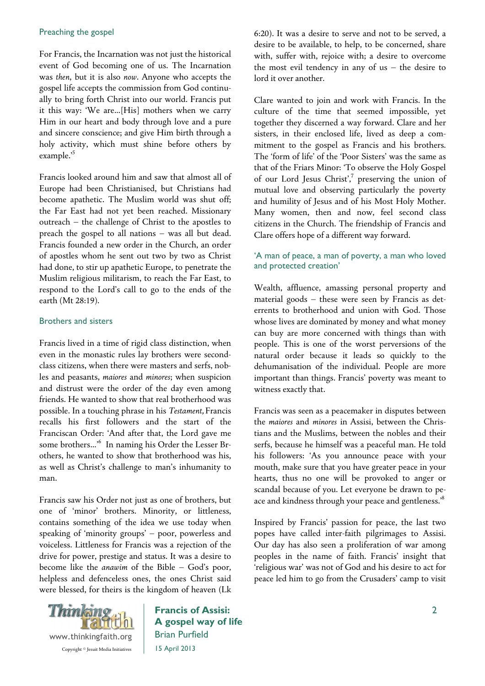#### Preaching the gospel

For Francis, the Incarnation was not just the historical event of God becoming one of us. The Incarnation was *then*, but it is also *now*. Anyone who accepts the gospel life accepts the commission from God continually to bring forth Christ into our world. Francis put it this way: 'We are…[His] mothers when we carry Him in our heart and body through love and a pure and sincere conscience; and give Him birth through a holy activity, which must shine before others by example.<sup>5</sup>

Francis looked around him and saw that almost all of Europe had been Christianised, but Christians had become apathetic. The Muslim world was shut off; the Far East had not yet been reached. Missionary outreach – the challenge of Christ to the apostles to preach the gospel to all nations – was all but dead. Francis founded a new order in the Church, an order of apostles whom he sent out two by two as Christ had done, to stir up apathetic Europe, to penetrate the Muslim religious militarism, to reach the Far East, to respond to the Lord's call to go to the ends of the earth (Mt 28:19).

## Brothers and sisters

Francis lived in a time of rigid class distinction, when even in the monastic rules lay brothers were secondclass citizens, when there were masters and serfs, nobles and peasants, *maiores* and *minores*; when suspicion and distrust were the order of the day even among friends. He wanted to show that real brotherhood was possible. In a touching phrase in his *Testament,* Francis recalls his first followers and the start of the Franciscan Order: 'And after that, the Lord gave me some brothers…'<sup>6</sup> In naming his Order the Lesser Brothers, he wanted to show that brotherhood was his, as well as Christ's challenge to man's inhumanity to man.

Francis saw his Order not just as one of brothers, but one of 'minor' brothers. Minority, or littleness, contains something of the idea we use today when speaking of 'minority groups' – poor, powerless and voiceless. Littleness for Francis was a rejection of the drive for power, prestige and status. It was a desire to become like the *anawim* of the Bible – God's poor, helpless and defenceless ones, the ones Christ said were blessed, for theirs is the kingdom of heaven (Lk



Francis of Assisi: A gospel way of life Brian Purfield 15 April 2013

6:20). It was a desire to serve and not to be served, a desire to be available, to help, to be concerned, share with, suffer with, rejoice with; a desire to overcome the most evil tendency in any of us – the desire to lord it over another.

Clare wanted to join and work with Francis. In the culture of the time that seemed impossible, yet together they discerned a way forward. Clare and her sisters, in their enclosed life, lived as deep a commitment to the gospel as Francis and his brothers. The 'form of life' of the 'Poor Sisters' was the same as that of the Friars Minor: 'To observe the Holy Gospel of our Lord Jesus Christ',<sup>7</sup> preserving the union of mutual love and observing particularly the poverty and humility of Jesus and of his Most Holy Mother. Many women, then and now, feel second class citizens in the Church. The friendship of Francis and Clare offers hope of a different way forward.

## 'A man of peace, a man of poverty, a man who loved and protected creation'

Wealth, affluence, amassing personal property and material goods – these were seen by Francis as deterrents to brotherhood and union with God. Those whose lives are dominated by money and what money can buy are more concerned with things than with people. This is one of the worst perversions of the natural order because it leads so quickly to the dehumanisation of the individual. People are more important than things. Francis' poverty was meant to witness exactly that.

Francis was seen as a peacemaker in disputes between the *maiores* and *minores* in Assisi, between the Christians and the Muslims, between the nobles and their serfs, because he himself was a peaceful man. He told his followers: 'As you announce peace with your mouth, make sure that you have greater peace in your hearts, thus no one will be provoked to anger or scandal because of you. Let everyone be drawn to peace and kindness through your peace and gentleness.<sup>8</sup>

Inspired by Francis' passion for peace, the last two popes have called inter-faith pilgrimages to Assisi. Our day has also seen a proliferation of war among peoples in the name of faith. Francis' insight that 'religious war' was not of God and his desire to act for peace led him to go from the Crusaders' camp to visit